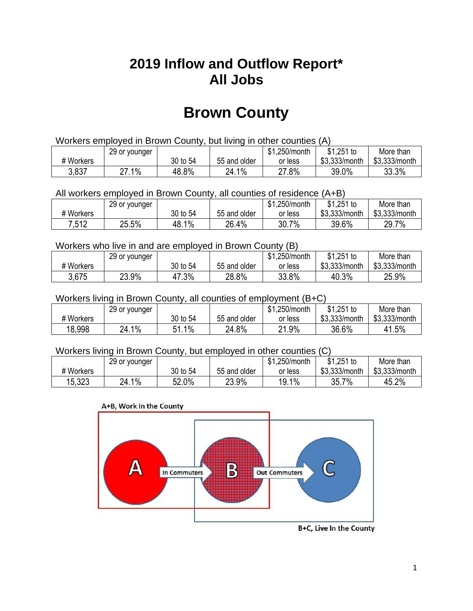## **2019 Inflow and Outflow Report\* All Jobs**

# **Brown County**

| Workers employed in Brown County, but living in other counties (A) |                                                           |          |              |         |               |               |  |  |  |
|--------------------------------------------------------------------|-----------------------------------------------------------|----------|--------------|---------|---------------|---------------|--|--|--|
|                                                                    | \$1.251 to<br>\$1.250/month<br>More than<br>29 or younger |          |              |         |               |               |  |  |  |
| # Workers                                                          |                                                           | 30 to 54 | 55 and older | or less | \$3,333/month | \$3,333/month |  |  |  |
| 3,837                                                              | 27.1%                                                     | 48.8%    | 24.1%        | 27.8%   | 39.0%         | 33.3%         |  |  |  |

All workers employed in Brown County, all counties of residence (A+B)

|           | 29 or younger |            |              | \$1,250/month | $$1,251$ to   | More than     |
|-----------|---------------|------------|--------------|---------------|---------------|---------------|
| # Workers |               | 30 to 54   | 55 and older | or less       | \$3,333/month | \$3,333/month |
| 7,512     | 25.5%         | 1%<br>48.1 | 26.4%        | 7%<br>30.7    | 39.6%         | 29.7%         |

#### Workers who live in and are employed in Brown County (B)

|           | 29 or younger |          |              | \$1,250/month | $$1,251$ to   | More than     |
|-----------|---------------|----------|--------------|---------------|---------------|---------------|
| # Workers |               | 30 to 54 | 55 and older | or less       | \$3,333/month | \$3,333/month |
| 3,675     | 23.9%         | 47.3%    | 28.8%        | 33.8%         | 40.3%         | 25.9%         |

#### Workers living in Brown County, all counties of employment (B+C)

|           | 29 or younger |              |              | \$1,250/month | $$1,251$ to   | More than     |
|-----------|---------------|--------------|--------------|---------------|---------------|---------------|
| # Workers |               | 30 to 54     | 55 and older | or less       | \$3,333/month | \$3,333/month |
| 18,998    | $1\%$<br>24.1 | $1\%$<br>C 4 | 24.8%        | 21.9%         | 36.6%         | 41.5%         |

#### Workers living in Brown County, but employed in other counties (C)

|           | 29 or younger |          |              | \$1,250/month | $$1,251$ to   | More than     |
|-----------|---------------|----------|--------------|---------------|---------------|---------------|
| # Workers |               | 30 to 54 | 55 and older | or less       | \$3,333/month | \$3,333/month |
| 15,323    | $1\%$<br>24.1 | 52.0%    | 23.9%        | 19.1%         | 35.7%         | 45.2%         |





B+C, Live In the County